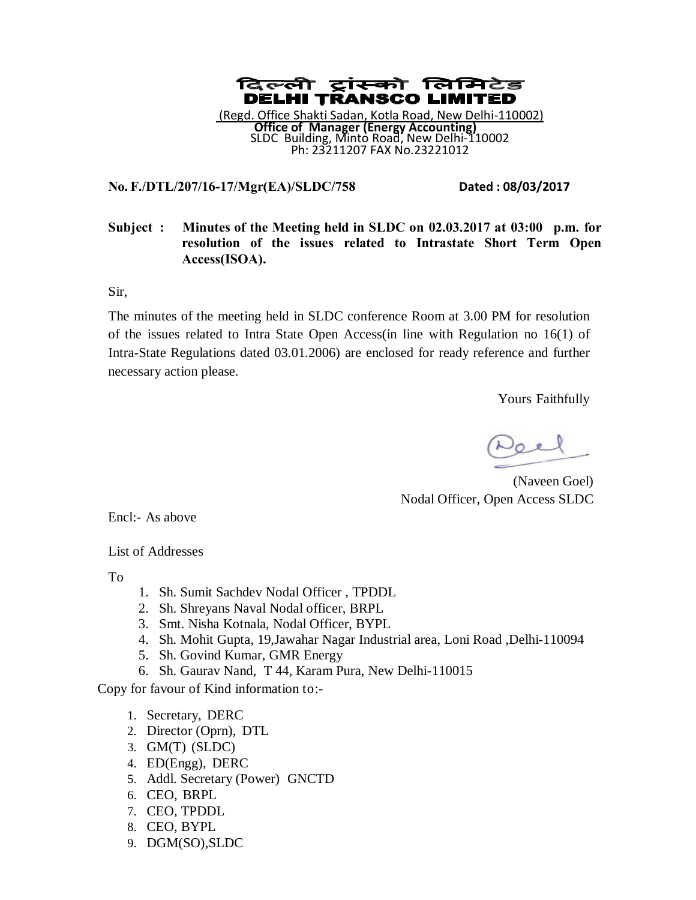

# **No. F./DTL/207/16-17/Mgr(EA)/SLDC/758 Dated : 08/03/2017**

# **Subject : Minutes of the Meeting held in SLDC on 02.03.2017 at 03:00 p.m. for resolution of the issues related to Intrastate Short Term Open Access(ISOA).**

Sir,

The minutes of the meeting held in SLDC conference Room at 3.00 PM for resolution of the issues related to Intra State Open Access(in line with Regulation no 16(1) of Intra-State Regulations dated 03.01.2006) are enclosed for ready reference and further necessary action please.

Yours Faithfully

 (Naveen Goel) Nodal Officer, Open Access SLDC

Encl:- As above

List of Addresses

To

- 1. Sh. Sumit Sachdev Nodal Officer , TPDDL
- 2. Sh. Shreyans Naval Nodal officer, BRPL
- 3. Smt. Nisha Kotnala, Nodal Officer, BYPL
- 4. Sh. Mohit Gupta, 19,Jawahar Nagar Industrial area, Loni Road ,Delhi-110094
- 5. Sh. Govind Kumar, GMR Energy
- 6. Sh. Gaurav Nand, T 44, Karam Pura, New Delhi-110015

Copy for favour of Kind information to:-

- 1. Secretary, DERC
- 2. Director (Oprn), DTL
- 3. GM(T) (SLDC)
- 4. ED(Engg), DERC
- 5. Addl. Secretary (Power) GNCTD
- 6. CEO, BRPL
- 7. CEO, TPDDL
- 8. CEO, BYPL
- 9. DGM(SO),SLDC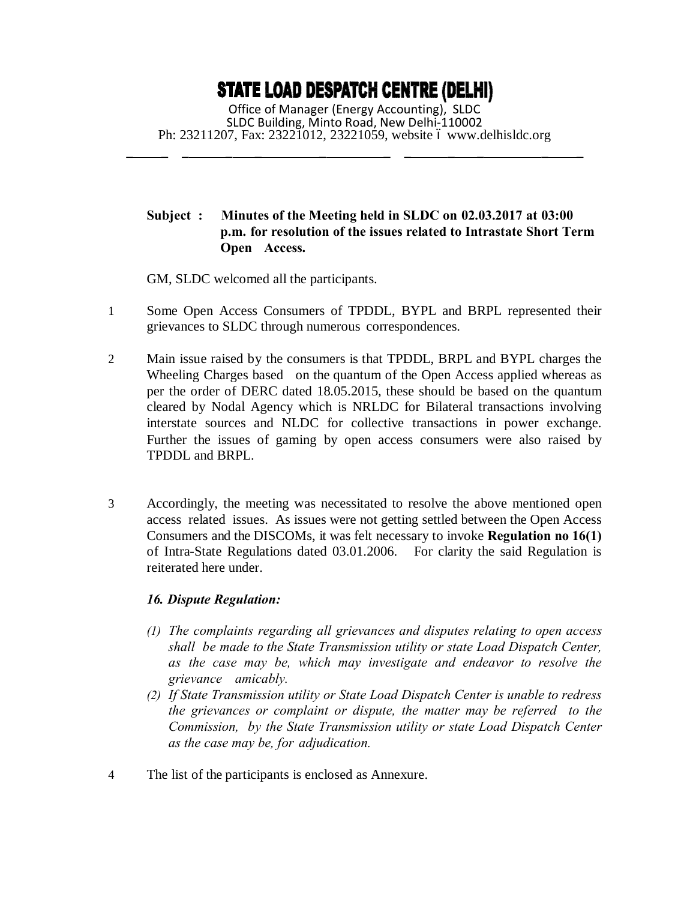# **STATE LOAD DESPATCH CENTRE (DELHI)**

Office of Manager (Energy Accounting), SLDC SLDC Building, Minto Road, New Delhi-110002 Ph: 23211207, Fax: 23221012, 23221059, website 6 [www.delhisldc.org](http://www.delhisldc.org/)

\_ \_ \_ \_ \_ \_ \_ \_ \_ \_ \_ \_

# **Subject : Minutes of the Meeting held in SLDC on 02.03.2017 at 03:00 p.m. for resolution of the issues related to Intrastate Short Term Open Access.**

GM, SLDC welcomed all the participants.

- 1 Some Open Access Consumers of TPDDL, BYPL and BRPL represented their grievances to SLDC through numerous correspondences.
- 2 Main issue raised by the consumers is that TPDDL, BRPL and BYPL charges the Wheeling Charges based on the quantum of the Open Access applied whereas as per the order of DERC dated 18.05.2015, these should be based on the quantum cleared by Nodal Agency which is NRLDC for Bilateral transactions involving interstate sources and NLDC for collective transactions in power exchange. Further the issues of gaming by open access consumers were also raised by TPDDL and BRPL.
- 3 Accordingly, the meeting was necessitated to resolve the above mentioned open access related issues. As issues were not getting settled between the Open Access Consumers and the DISCOMs, it was felt necessary to invoke **Regulation no 16(1)** of Intra-State Regulations dated 03.01.2006. For clarity the said Regulation is reiterated here under.

# *16. Dispute Regulation:*

- *(1) The complaints regarding all grievances and disputes relating to open access shall be made to the State Transmission utility or state Load Dispatch Center, as the case may be, which may investigate and endeavor to resolve the grievance amicably.*
- *(2) If State Transmission utility or State Load Dispatch Center is unable to redress the grievances or complaint or dispute, the matter may be referred to the Commission, by the State Transmission utility or state Load Dispatch Center as the case may be, for adjudication.*
- 4 The list of the participants is enclosed as Annexure.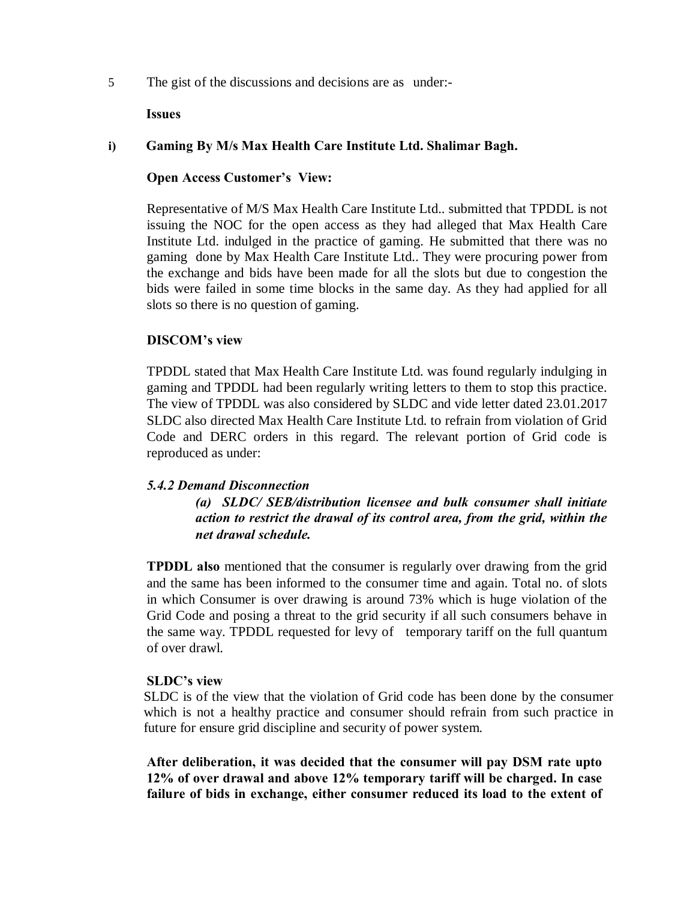5 The gist of the discussions and decisions are as under:-

### **Issues**

# **i) Gaming By M/s Max Health Care Institute Ltd. Shalimar Bagh.**

## **Open Access Customer's View:**

Representative of M/S Max Health Care Institute Ltd.. submitted that TPDDL is not issuing the NOC for the open access as they had alleged that Max Health Care Institute Ltd. indulged in the practice of gaming. He submitted that there was no gaming done by Max Health Care Institute Ltd.. They were procuring power from the exchange and bids have been made for all the slots but due to congestion the bids were failed in some time blocks in the same day. As they had applied for all slots so there is no question of gaming.

# **DISCOM's view**

TPDDL stated that Max Health Care Institute Ltd. was found regularly indulging in gaming and TPDDL had been regularly writing letters to them to stop this practice. The view of TPDDL was also considered by SLDC and vide letter dated 23.01.2017 SLDC also directed Max Health Care Institute Ltd. to refrain from violation of Grid Code and DERC orders in this regard. The relevant portion of Grid code is reproduced as under:

# *5.4.2 Demand Disconnection*

*(a) SLDC/ SEB/distribution licensee and bulk consumer shall initiate action to restrict the drawal of its control area, from the grid, within the net drawal schedule.*

**TPDDL also** mentioned that the consumer is regularly over drawing from the grid and the same has been informed to the consumer time and again. Total no. of slots in which Consumer is over drawing is around 73% which is huge violation of the Grid Code and posing a threat to the grid security if all such consumers behave in the same way. TPDDL requested for levy of temporary tariff on the full quantum of over drawl.

# **SLDC's view**

SLDC is of the view that the violation of Grid code has been done by the consumer which is not a healthy practice and consumer should refrain from such practice in future for ensure grid discipline and security of power system.

**After deliberation, it was decided that the consumer will pay DSM rate upto 12% of over drawal and above 12% temporary tariff will be charged. In case failure of bids in exchange, either consumer reduced its load to the extent of**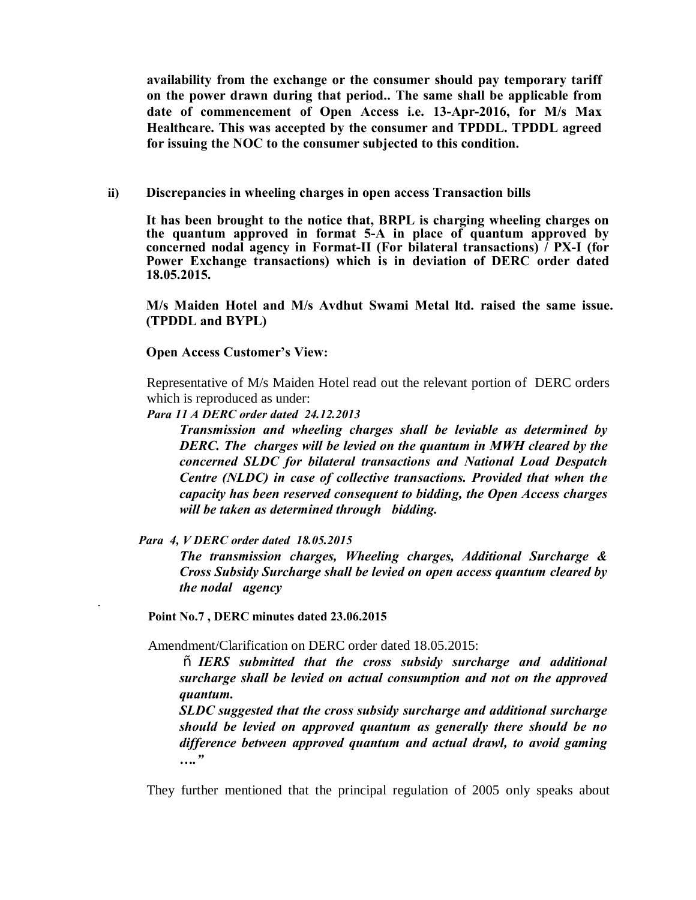**availability from the exchange or the consumer should pay temporary tariff on the power drawn during that period.. The same shall be applicable from date of commencement of Open Access i.e. 13-Apr-2016, for M/s Max Healthcare. This was accepted by the consumer and TPDDL. TPDDL agreed for issuing the NOC to the consumer subjected to this condition.** 

**ii) Discrepancies in wheeling charges in open access Transaction bills**

**It has been brought to the notice that, BRPL is charging wheeling charges on the quantum approved in format 5-A in place of quantum approved by concerned nodal agency in Format-II (For bilateral transactions) / PX-I (for Power Exchange transactions) which is in deviation of DERC order dated 18.05.2015.** 

**M/s Maiden Hotel and M/s Avdhut Swami Metal ltd. raised the same issue. (TPDDL and BYPL)**

**Open Access Customer's View:**

Representative of M/s Maiden Hotel read out the relevant portion of DERC orders which is reproduced as under:

*Para 11 A DERC order dated 24.12.2013*

*Transmission and wheeling charges shall be leviable as determined by DERC. The charges will be levied on the quantum in MWH cleared by the concerned SLDC for bilateral transactions and National Load Despatch Centre (NLDC) in case of collective transactions. Provided that when the capacity has been reserved consequent to bidding, the Open Access charges will be taken as determined through bidding.*

*Para 4, V DERC order dated 18.05.2015*

.

*The transmission charges, Wheeling charges, Additional Surcharge & Cross Subsidy Surcharge shall be levied on open access quantum cleared by the nodal agency*

**Point No.7 , DERC minutes dated 23.06.2015**

Amendment/Clarification on DERC order dated 18.05.2015:

 $\tilde{O}$  *IERS submitted that the cross subsidy surcharge and additional surcharge shall be levied on actual consumption and not on the approved quantum.*

*SLDC suggested that the cross subsidy surcharge and additional surcharge should be levied on approved quantum as generally there should be no difference between approved quantum and actual drawl, to avoid gaming …."*

They further mentioned that the principal regulation of 2005 only speaks about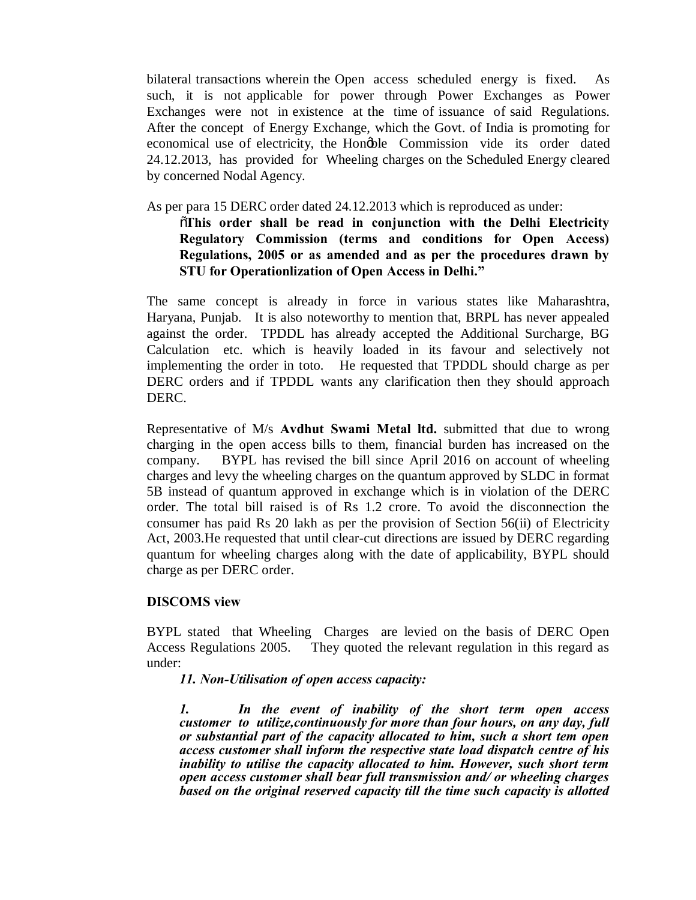bilateral transactions wherein the Open access scheduled energy is fixed. As such, it is not applicable for power through Power Exchanges as Power Exchanges were not in existence at the time of issuance of said Regulations. After the concept of Energy Exchange, which the Govt. of India is promoting for economical use of electricity, the Hongble Commission vide its order dated 24.12.2013, has provided for Wheeling charges on the Scheduled Energy cleared by concerned Nodal Agency.

As per para 15 DERC order dated 24.12.2013 which is reproduced as under:

# "**This order shall be read in conjunction with the Delhi Electricity Regulatory Commission (terms and conditions for Open Access) Regulations, 2005 or as amended and as per the procedures drawn by STU for Operationlization of Open Access in Delhi."**

The same concept is already in force in various states like Maharashtra, Haryana, Punjab. It is also noteworthy to mention that, BRPL has never appealed against the order. TPDDL has already accepted the Additional Surcharge, BG Calculation etc. which is heavily loaded in its favour and selectively not implementing the order in toto. He requested that TPDDL should charge as per DERC orders and if TPDDL wants any clarification then they should approach DERC.

Representative of M/s **Avdhut Swami Metal ltd.** submitted that due to wrong charging in the open access bills to them, financial burden has increased on the company. BYPL has revised the bill since April 2016 on account of wheeling charges and levy the wheeling charges on the quantum approved by SLDC in format 5B instead of quantum approved in exchange which is in violation of the DERC order. The total bill raised is of Rs 1.2 crore. To avoid the disconnection the consumer has paid Rs 20 lakh as per the provision of Section 56(ii) of Electricity Act, 2003.He requested that until clear-cut directions are issued by DERC regarding quantum for wheeling charges along with the date of applicability, BYPL should charge as per DERC order.

# **DISCOMS view**

BYPL stated that Wheeling Charges are levied on the basis of DERC Open Access Regulations 2005. They quoted the relevant regulation in this regard as under:

*11. Non-Utilisation of open access capacity:*

*1. In the event of inability of the short term open access customer to utilize,continuously for more than four hours, on any day, full or substantial part of the capacity allocated to him, such a short tem open access customer shall inform the respective state load dispatch centre of his inability to utilise the capacity allocated to him. However, such short term open access customer shall bear full transmission and/ or wheeling charges based on the original reserved capacity till the time such capacity is allotted*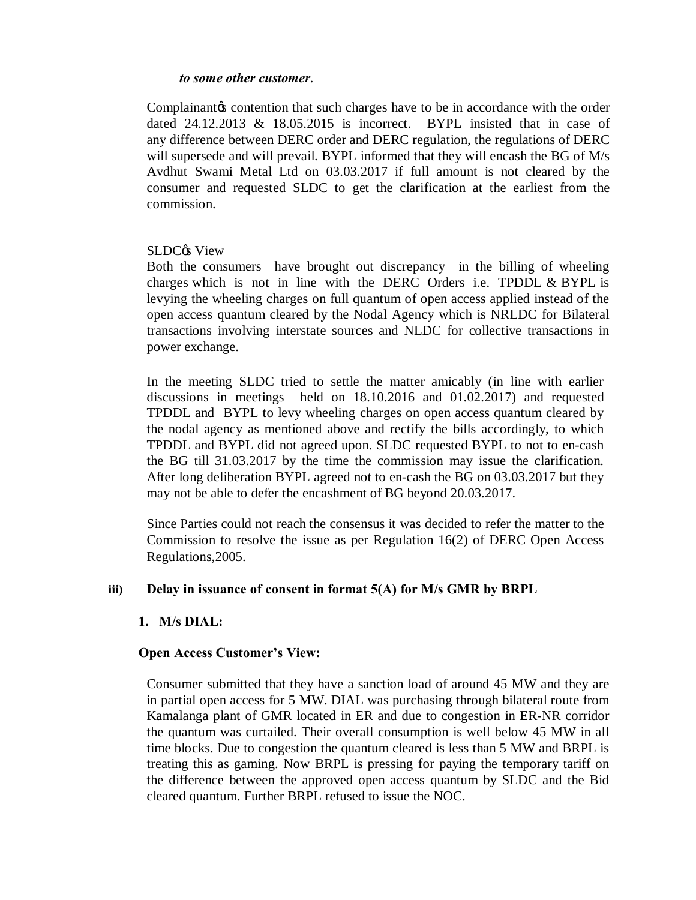#### *to some other customer*.

Complainant to contention that such charges have to be in accordance with the order dated 24.12.2013 & 18.05.2015 is incorrect. BYPL insisted that in case of any difference between DERC order and DERC regulation, the regulations of DERC will supersede and will prevail. BYPL informed that they will encash the BG of M/s Avdhut Swami Metal Ltd on 03.03.2017 if full amount is not cleared by the consumer and requested SLDC to get the clarification at the earliest from the commission.

### SLDC<sub>®</sub> View

Both the consumers have brought out discrepancy in the billing of wheeling charges which is not in line with the DERC Orders i.e. TPDDL & BYPL is levying the wheeling charges on full quantum of open access applied instead of the open access quantum cleared by the Nodal Agency which is NRLDC for Bilateral transactions involving interstate sources and NLDC for collective transactions in power exchange.

In the meeting SLDC tried to settle the matter amicably (in line with earlier discussions in meetings held on 18.10.2016 and 01.02.2017) and requested TPDDL and BYPL to levy wheeling charges on open access quantum cleared by the nodal agency as mentioned above and rectify the bills accordingly, to which TPDDL and BYPL did not agreed upon. SLDC requested BYPL to not to en-cash the BG till 31.03.2017 by the time the commission may issue the clarification. After long deliberation BYPL agreed not to en-cash the BG on 03.03.2017 but they may not be able to defer the encashment of BG beyond 20.03.2017.

Since Parties could not reach the consensus it was decided to refer the matter to the Commission to resolve the issue as per Regulation 16(2) of DERC Open Access Regulations,2005.

#### **iii) Delay in issuance of consent in format 5(A) for M/s GMR by BRPL**

# **1. M/s DIAL:**

# **Open Access Customer's View:**

Consumer submitted that they have a sanction load of around 45 MW and they are in partial open access for 5 MW. DIAL was purchasing through bilateral route from Kamalanga plant of GMR located in ER and due to congestion in ER-NR corridor the quantum was curtailed. Their overall consumption is well below 45 MW in all time blocks. Due to congestion the quantum cleared is less than 5 MW and BRPL is treating this as gaming. Now BRPL is pressing for paying the temporary tariff on the difference between the approved open access quantum by SLDC and the Bid cleared quantum. Further BRPL refused to issue the NOC.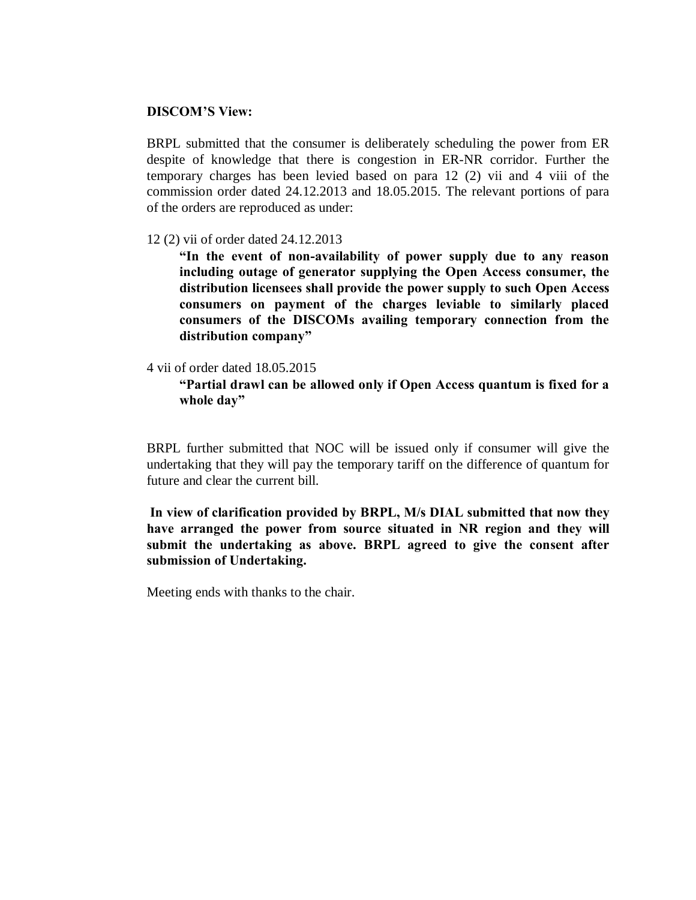#### **DISCOM'S View:**

BRPL submitted that the consumer is deliberately scheduling the power from ER despite of knowledge that there is congestion in ER-NR corridor. Further the temporary charges has been levied based on para 12 (2) vii and 4 viii of the commission order dated 24.12.2013 and 18.05.2015. The relevant portions of para of the orders are reproduced as under:

#### 12 (2) vii of order dated 24.12.2013

**"In the event of non-availability of power supply due to any reason including outage of generator supplying the Open Access consumer, the distribution licensees shall provide the power supply to such Open Access consumers on payment of the charges leviable to similarly placed consumers of the DISCOMs availing temporary connection from the distribution company"**

#### 4 vii of order dated 18.05.2015

**"Partial drawl can be allowed only if Open Access quantum is fixed for a whole day"**

BRPL further submitted that NOC will be issued only if consumer will give the undertaking that they will pay the temporary tariff on the difference of quantum for future and clear the current bill.

**In view of clarification provided by BRPL, M/s DIAL submitted that now they have arranged the power from source situated in NR region and they will submit the undertaking as above. BRPL agreed to give the consent after submission of Undertaking.**

Meeting ends with thanks to the chair.